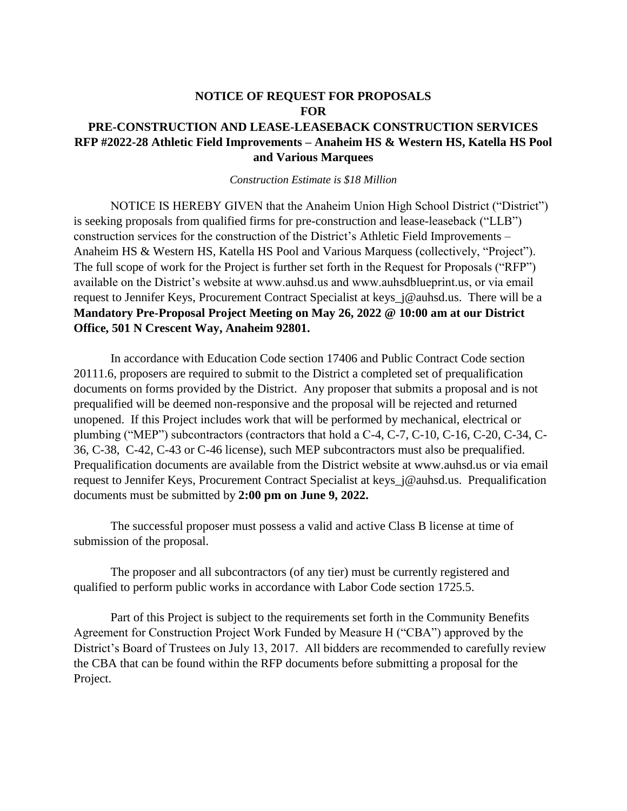## **NOTICE OF REQUEST FOR PROPOSALS FOR PRE-CONSTRUCTION AND LEASE-LEASEBACK CONSTRUCTION SERVICES RFP #2022-28 Athletic Field Improvements – Anaheim HS & Western HS, Katella HS Pool and Various Marquees**

*Construction Estimate is \$18 Million*

NOTICE IS HEREBY GIVEN that the Anaheim Union High School District ("District") is seeking proposals from qualified firms for pre-construction and lease-leaseback ("LLB") construction services for the construction of the District's Athletic Field Improvements – Anaheim HS & Western HS, Katella HS Pool and Various Marquess (collectively, "Project"). The full scope of work for the Project is further set forth in the Request for Proposals ("RFP") available on the District's website at www.auhsd.us and www.auhsdblueprint.us, or via email request to Jennifer Keys, Procurement Contract Specialist at keys\_j@auhsd.us. There will be a **Mandatory Pre-Proposal Project Meeting on May 26, 2022 @ 10:00 am at our District Office, 501 N Crescent Way, Anaheim 92801.** 

In accordance with Education Code section 17406 and Public Contract Code section 20111.6, proposers are required to submit to the District a completed set of prequalification documents on forms provided by the District. Any proposer that submits a proposal and is not prequalified will be deemed non-responsive and the proposal will be rejected and returned unopened. If this Project includes work that will be performed by mechanical, electrical or plumbing ("MEP") subcontractors (contractors that hold a C-4, C-7, C-10, C-16, C-20, C-34, C-36, C-38, C-42, C-43 or C-46 license), such MEP subcontractors must also be prequalified. Prequalification documents are available from the District website at www.auhsd.us or via email request to Jennifer Keys, Procurement Contract Specialist at keys\_j@auhsd.us. Prequalification documents must be submitted by **2:00 pm on June 9, 2022.**

The successful proposer must possess a valid and active Class B license at time of submission of the proposal.

The proposer and all subcontractors (of any tier) must be currently registered and qualified to perform public works in accordance with Labor Code section 1725.5.

Part of this Project is subject to the requirements set forth in the Community Benefits Agreement for Construction Project Work Funded by Measure H ("CBA") approved by the District's Board of Trustees on July 13, 2017. All bidders are recommended to carefully review the CBA that can be found within the RFP documents before submitting a proposal for the Project.